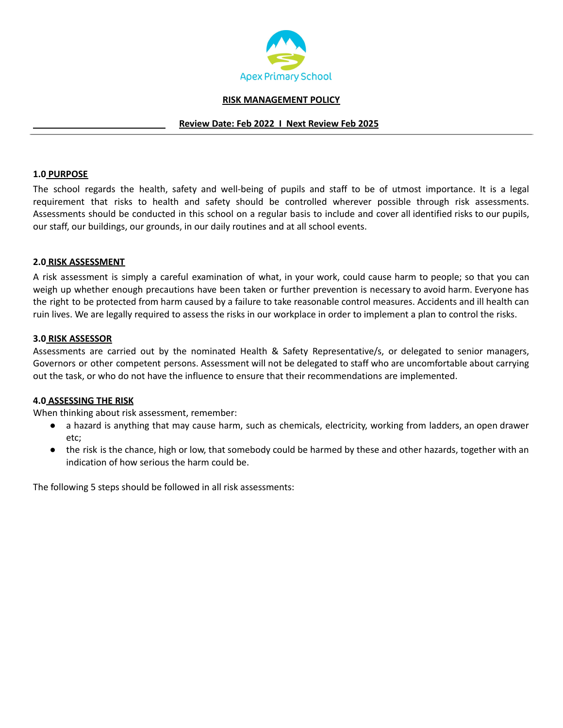

#### **RISK MANAGEMENT POLICY**

# **Review Date: Feb 2022 I Next Review Feb 2025**

# **1.0 PURPOSE**

The school regards the health, safety and well-being of pupils and staff to be of utmost importance. It is a legal requirement that risks to health and safety should be controlled wherever possible through risk assessments. Assessments should be conducted in this school on a regular basis to include and cover all identified risks to our pupils, our staff, our buildings, our grounds, in our daily routines and at all school events.

## **2.0 RISK ASSESSMENT**

A risk assessment is simply a careful examination of what, in your work, could cause harm to people; so that you can weigh up whether enough precautions have been taken or further prevention is necessary to avoid harm. Everyone has the right to be protected from harm caused by a failure to take reasonable control measures. Accidents and ill health can ruin lives. We are legally required to assess the risks in our workplace in order to implement a plan to control the risks.

#### **3.0 RISK ASSESSOR**

Assessments are carried out by the nominated Health & Safety Representative/s, or delegated to senior managers, Governors or other competent persons. Assessment will not be delegated to staff who are uncomfortable about carrying out the task, or who do not have the influence to ensure that their recommendations are implemented.

## **4.0 ASSESSING THE RISK**

When thinking about risk assessment, remember:

- a hazard is anything that may cause harm, such as chemicals, electricity, working from ladders, an open drawer etc;
- the risk is the chance, high or low, that somebody could be harmed by these and other hazards, together with an indication of how serious the harm could be.

The following 5 steps should be followed in all risk assessments: